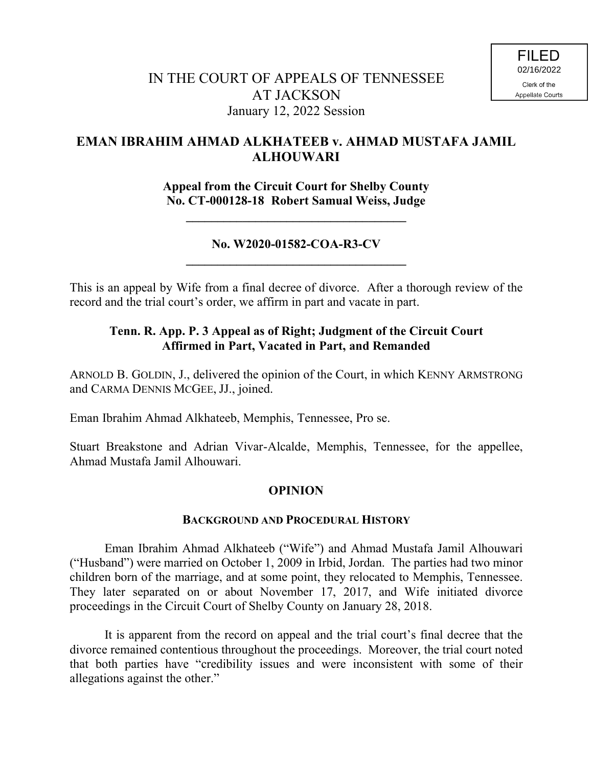# **EMAN IBRAHIM AHMAD ALKHATEEB v. AHMAD MUSTAFA JAMIL ALHOUWARI**

**Appeal from the Circuit Court for Shelby County No. CT-000128-18 Robert Samual Weiss, Judge**

## **No. W2020-01582-COA-R3-CV \_\_\_\_\_\_\_\_\_\_\_\_\_\_\_\_\_\_\_\_\_\_\_\_\_\_\_\_\_\_\_\_\_\_\_**

**\_\_\_\_\_\_\_\_\_\_\_\_\_\_\_\_\_\_\_\_\_\_\_\_\_\_\_\_\_\_\_\_\_\_\_**

This is an appeal by Wife from a final decree of divorce. After a thorough review of the record and the trial court's order, we affirm in part and vacate in part.

# **Tenn. R. App. P. 3 Appeal as of Right; Judgment of the Circuit Court Affirmed in Part, Vacated in Part, and Remanded**

ARNOLD B. GOLDIN, J., delivered the opinion of the Court, in which KENNY ARMSTRONG and CARMA DENNIS MCGEE, JJ., joined.

Eman Ibrahim Ahmad Alkhateeb, Memphis, Tennessee, Pro se.

Stuart Breakstone and Adrian Vivar-Alcalde, Memphis, Tennessee, for the appellee, Ahmad Mustafa Jamil Alhouwari.

## **OPINION**

## **BACKGROUND AND PROCEDURAL HISTORY**

Eman Ibrahim Ahmad Alkhateeb ("Wife") and Ahmad Mustafa Jamil Alhouwari ("Husband") were married on October 1, 2009 in Irbid, Jordan. The parties had two minor children born of the marriage, and at some point, they relocated to Memphis, Tennessee. They later separated on or about November 17, 2017, and Wife initiated divorce proceedings in the Circuit Court of Shelby County on January 28, 2018.

It is apparent from the record on appeal and the trial court's final decree that the divorce remained contentious throughout the proceedings. Moreover, the trial court noted that both parties have "credibility issues and were inconsistent with some of their allegations against the other."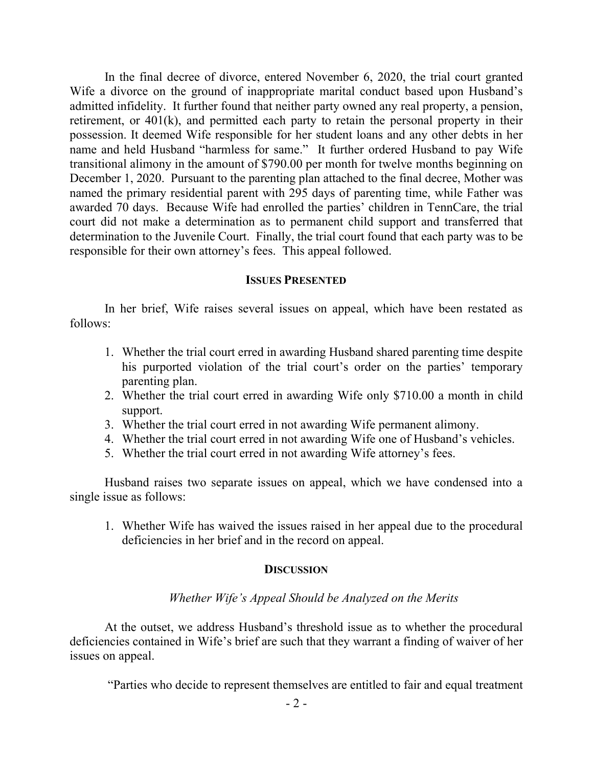In the final decree of divorce, entered November 6, 2020, the trial court granted Wife a divorce on the ground of inappropriate marital conduct based upon Husband's admitted infidelity. It further found that neither party owned any real property, a pension, retirement, or 401(k), and permitted each party to retain the personal property in their possession. It deemed Wife responsible for her student loans and any other debts in her name and held Husband "harmless for same." It further ordered Husband to pay Wife transitional alimony in the amount of \$790.00 per month for twelve months beginning on December 1, 2020. Pursuant to the parenting plan attached to the final decree, Mother was named the primary residential parent with 295 days of parenting time, while Father was awarded 70 days. Because Wife had enrolled the parties' children in TennCare, the trial court did not make a determination as to permanent child support and transferred that determination to the Juvenile Court. Finally, the trial court found that each party was to be responsible for their own attorney's fees. This appeal followed.

#### **ISSUES PRESENTED**

In her brief, Wife raises several issues on appeal, which have been restated as follows:

- 1. Whether the trial court erred in awarding Husband shared parenting time despite his purported violation of the trial court's order on the parties' temporary parenting plan.
- 2. Whether the trial court erred in awarding Wife only \$710.00 a month in child support.
- 3. Whether the trial court erred in not awarding Wife permanent alimony.
- 4. Whether the trial court erred in not awarding Wife one of Husband's vehicles.
- 5. Whether the trial court erred in not awarding Wife attorney's fees.

Husband raises two separate issues on appeal, which we have condensed into a single issue as follows:

1. Whether Wife has waived the issues raised in her appeal due to the procedural deficiencies in her brief and in the record on appeal.

### **DISCUSSION**

## *Whether Wife's Appeal Should be Analyzed on the Merits*

At the outset, we address Husband's threshold issue as to whether the procedural deficiencies contained in Wife's brief are such that they warrant a finding of waiver of her issues on appeal.

"Parties who decide to represent themselves are entitled to fair and equal treatment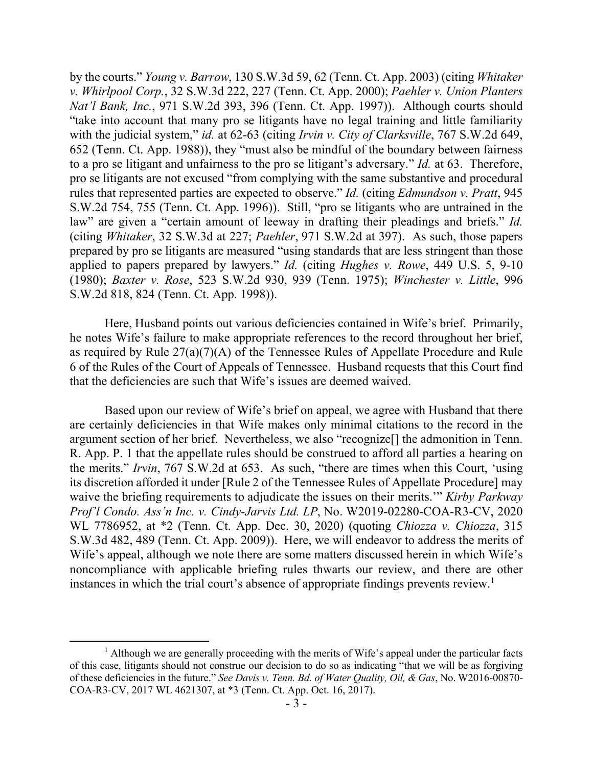by the courts." *Young v. Barrow*, 130 S.W.3d 59, 62 (Tenn. Ct. App. 2003) (citing *Whitaker v. Whirlpool Corp.*, 32 S.W.3d 222, 227 (Tenn. Ct. App. 2000); *Paehler v. Union Planters Nat'l Bank, Inc.*, 971 S.W.2d 393, 396 (Tenn. Ct. App. 1997)). Although courts should "take into account that many pro se litigants have no legal training and little familiarity with the judicial system," *id.* at 62-63 (citing *Irvin v. City of Clarksville*, 767 S.W.2d 649, 652 (Tenn. Ct. App. 1988)), they "must also be mindful of the boundary between fairness to a pro se litigant and unfairness to the pro se litigant's adversary." *Id.* at 63. Therefore, pro se litigants are not excused "from complying with the same substantive and procedural rules that represented parties are expected to observe." *Id.* (citing *Edmundson v. Pratt*, 945 S.W.2d 754, 755 (Tenn. Ct. App. 1996)). Still, "pro se litigants who are untrained in the law" are given a "certain amount of leeway in drafting their pleadings and briefs." *Id.* (citing *Whitaker*, 32 S.W.3d at 227; *Paehler*, 971 S.W.2d at 397). As such, those papers prepared by pro se litigants are measured "using standards that are less stringent than those applied to papers prepared by lawyers." *Id.* (citing *Hughes v. Rowe*, 449 U.S. 5, 9-10 (1980); *Baxter v. Rose*, 523 S.W.2d 930, 939 (Tenn. 1975); *Winchester v. Little*, 996 S.W.2d 818, 824 (Tenn. Ct. App. 1998)).

Here, Husband points out various deficiencies contained in Wife's brief. Primarily, he notes Wife's failure to make appropriate references to the record throughout her brief, as required by Rule 27(a)(7)(A) of the Tennessee Rules of Appellate Procedure and Rule 6 of the Rules of the Court of Appeals of Tennessee. Husband requests that this Court find that the deficiencies are such that Wife's issues are deemed waived.

Based upon our review of Wife's brief on appeal, we agree with Husband that there are certainly deficiencies in that Wife makes only minimal citations to the record in the argument section of her brief. Nevertheless, we also "recognize[] the admonition in Tenn. R. App. P. 1 that the appellate rules should be construed to afford all parties a hearing on the merits." *Irvin*, 767 S.W.2d at 653. As such, "there are times when this Court, 'using its discretion afforded it under [Rule 2 of the Tennessee Rules of Appellate Procedure] may waive the briefing requirements to adjudicate the issues on their merits.'" *Kirby Parkway Prof'l Condo. Ass'n Inc. v. Cindy-Jarvis Ltd. LP*, No. W2019-02280-COA-R3-CV, 2020 WL 7786952, at \*2 (Tenn. Ct. App. Dec. 30, 2020) (quoting *Chiozza v. Chiozza*, 315 S.W.3d 482, 489 (Tenn. Ct. App. 2009)). Here, we will endeavor to address the merits of Wife's appeal, although we note there are some matters discussed herein in which Wife's noncompliance with applicable briefing rules thwarts our review, and there are other instances in which the trial court's absence of appropriate findings prevents review.<sup>1</sup>

<sup>&</sup>lt;sup>1</sup> Although we are generally proceeding with the merits of Wife's appeal under the particular facts of this case, litigants should not construe our decision to do so as indicating "that we will be as forgiving of these deficiencies in the future." *See Davis v. Tenn. Bd. of Water Quality, Oil, & Gas*, No. W2016-00870- COA-R3-CV, 2017 WL 4621307, at \*3 (Tenn. Ct. App. Oct. 16, 2017).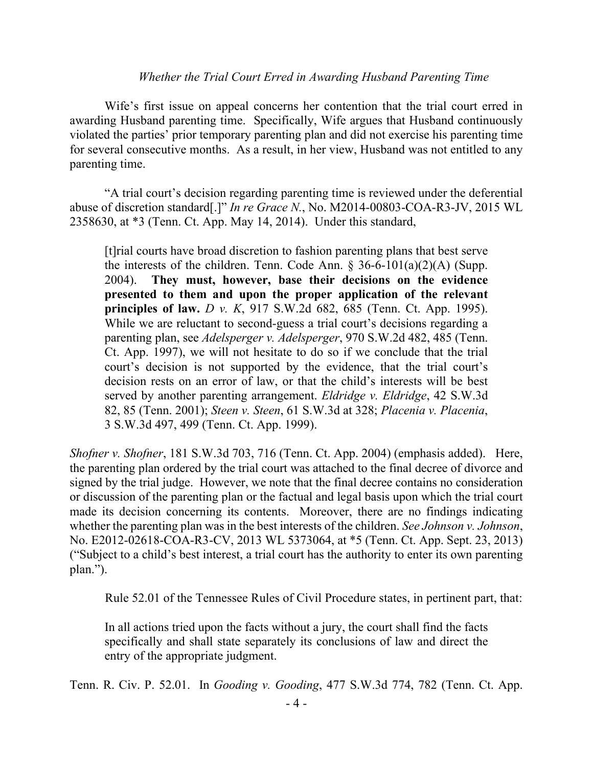## *Whether the Trial Court Erred in Awarding Husband Parenting Time*

Wife's first issue on appeal concerns her contention that the trial court erred in awarding Husband parenting time. Specifically, Wife argues that Husband continuously violated the parties' prior temporary parenting plan and did not exercise his parenting time for several consecutive months. As a result, in her view, Husband was not entitled to any parenting time.

"A trial court's decision regarding parenting time is reviewed under the deferential abuse of discretion standard[.]" *In re Grace N.*, No. M2014-00803-COA-R3-JV, 2015 WL 2358630, at \*3 (Tenn. Ct. App. May 14, 2014). Under this standard,

[t]rial courts have broad discretion to fashion parenting plans that best serve the interests of the children. Tenn. Code Ann.  $\S$  36-6-101(a)(2)(A) (Supp. 2004). **They must, however, base their decisions on the evidence presented to them and upon the proper application of the relevant principles of law.** *D v. K*, 917 S.W.2d 682, 685 (Tenn. Ct. App. 1995). While we are reluctant to second-guess a trial court's decisions regarding a parenting plan, see *Adelsperger v. Adelsperger*, 970 S.W.2d 482, 485 (Tenn. Ct. App. 1997), we will not hesitate to do so if we conclude that the trial court's decision is not supported by the evidence, that the trial court's decision rests on an error of law, or that the child's interests will be best served by another parenting arrangement. *Eldridge v. Eldridge*, 42 S.W.3d 82, 85 (Tenn. 2001); *Steen v. Steen*, 61 S.W.3d at 328; *Placenia v. Placenia*, 3 S.W.3d 497, 499 (Tenn. Ct. App. 1999).

*Shofner v. Shofner*, 181 S.W.3d 703, 716 (Tenn. Ct. App. 2004) (emphasis added). Here, the parenting plan ordered by the trial court was attached to the final decree of divorce and signed by the trial judge. However, we note that the final decree contains no consideration or discussion of the parenting plan or the factual and legal basis upon which the trial court made its decision concerning its contents. Moreover, there are no findings indicating whether the parenting plan was in the best interests of the children. *See Johnson v. Johnson*, No. E2012-02618-COA-R3-CV, 2013 WL 5373064, at \*5 (Tenn. Ct. App. Sept. 23, 2013) ("Subject to a child's best interest, a trial court has the authority to enter its own parenting plan.").

Rule 52.01 of the Tennessee Rules of Civil Procedure states, in pertinent part, that:

In all actions tried upon the facts without a jury, the court shall find the facts specifically and shall state separately its conclusions of law and direct the entry of the appropriate judgment.

Tenn. R. Civ. P. 52.01. In *Gooding v. Gooding*, 477 S.W.3d 774, 782 (Tenn. Ct. App.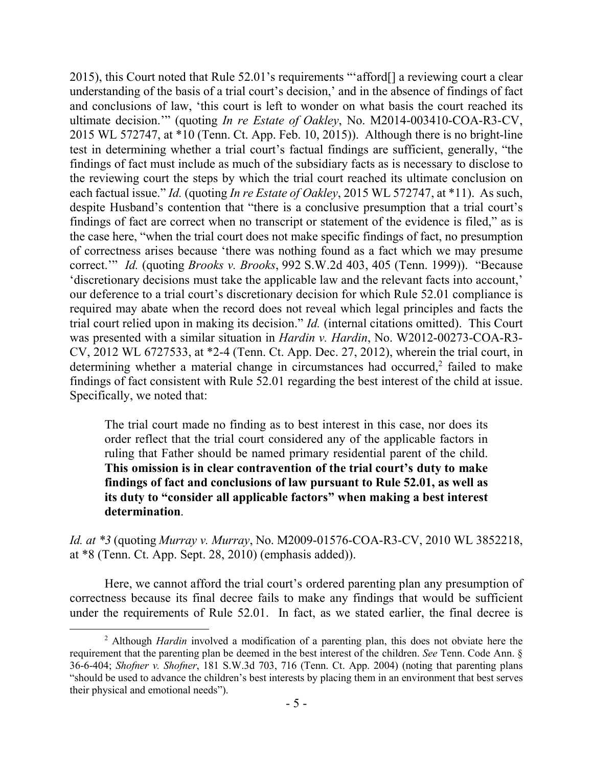2015), this Court noted that Rule 52.01's requirements "'afford[] a reviewing court a clear understanding of the basis of a trial court's decision,' and in the absence of findings of fact and conclusions of law, 'this court is left to wonder on what basis the court reached its ultimate decision.'" (quoting *In re Estate of Oakley*, No. M2014-003410-COA-R3-CV, 2015 WL 572747, at \*10 (Tenn. Ct. App. Feb. 10, 2015)). Although there is no bright-line test in determining whether a trial court's factual findings are sufficient, generally, "the findings of fact must include as much of the subsidiary facts as is necessary to disclose to the reviewing court the steps by which the trial court reached its ultimate conclusion on each factual issue." *Id.* (quoting *In re Estate of Oakley*, 2015 WL 572747, at \*11). As such, despite Husband's contention that "there is a conclusive presumption that a trial court's findings of fact are correct when no transcript or statement of the evidence is filed," as is the case here, "when the trial court does not make specific findings of fact, no presumption of correctness arises because 'there was nothing found as a fact which we may presume correct.'" *Id.* (quoting *Brooks v. Brooks*, 992 S.W.2d 403, 405 (Tenn. 1999)). "Because 'discretionary decisions must take the applicable law and the relevant facts into account,' our deference to a trial court's discretionary decision for which Rule 52.01 compliance is required may abate when the record does not reveal which legal principles and facts the trial court relied upon in making its decision." *Id.* (internal citations omitted). This Court was presented with a similar situation in *Hardin v. Hardin*, No. W2012-00273-COA-R3- CV, 2012 WL 6727533, at \*2-4 (Tenn. Ct. App. Dec. 27, 2012), wherein the trial court, in determining whether a material change in circumstances had occurred,<sup>2</sup> failed to make findings of fact consistent with Rule 52.01 regarding the best interest of the child at issue. Specifically, we noted that:

The trial court made no finding as to best interest in this case, nor does its order reflect that the trial court considered any of the applicable factors in ruling that Father should be named primary residential parent of the child. **This omission is in clear contravention of the trial court's duty to make findings of fact and conclusions of law pursuant to Rule 52.01, as well as its duty to "consider all applicable factors" when making a best interest determination**.

*Id. at \*3* (quoting *Murray v. Murray*, No. M2009-01576-COA-R3-CV, 2010 WL 3852218, at \*8 (Tenn. Ct. App. Sept. 28, 2010) (emphasis added)).

Here, we cannot afford the trial court's ordered parenting plan any presumption of correctness because its final decree fails to make any findings that would be sufficient under the requirements of Rule 52.01. In fact, as we stated earlier, the final decree is

 $\overline{a}$ 

<sup>2</sup> Although *Hardin* involved a modification of a parenting plan, this does not obviate here the requirement that the parenting plan be deemed in the best interest of the children. *See* Tenn. Code Ann. § 36-6-404; *Shofner v. Shofner*, 181 S.W.3d 703, 716 (Tenn. Ct. App. 2004) (noting that parenting plans "should be used to advance the children's best interests by placing them in an environment that best serves their physical and emotional needs").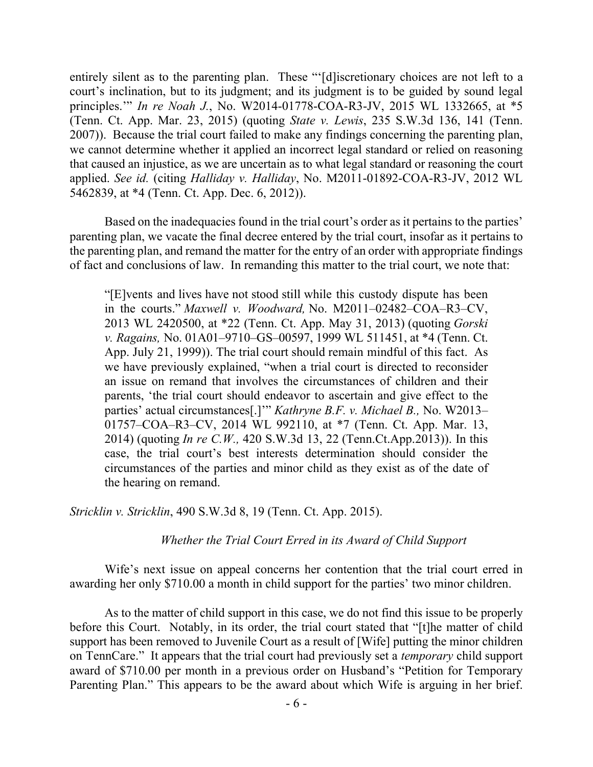entirely silent as to the parenting plan. These "'[d] iscretionary choices are not left to a court's inclination, but to its judgment; and its judgment is to be guided by sound legal principles.'" *In re Noah J.*, No. W2014-01778-COA-R3-JV, 2015 WL 1332665, at \*5 (Tenn. Ct. App. Mar. 23, 2015) (quoting *State v. Lewis*, 235 S.W.3d 136, 141 (Tenn. 2007)). Because the trial court failed to make any findings concerning the parenting plan, we cannot determine whether it applied an incorrect legal standard or relied on reasoning that caused an injustice, as we are uncertain as to what legal standard or reasoning the court applied. *See id.* (citing *Halliday v. Halliday*, No. M2011-01892-COA-R3-JV, 2012 WL 5462839, at \*4 (Tenn. Ct. App. Dec. 6, 2012)).

Based on the inadequacies found in the trial court's order as it pertains to the parties' parenting plan, we vacate the final decree entered by the trial court, insofar as it pertains to the parenting plan, and remand the matter for the entry of an order with appropriate findings of fact and conclusions of law. In remanding this matter to the trial court, we note that:

"[E]vents and lives have not stood still while this custody dispute has been in the courts." *Maxwell v. Woodward,* No. M2011–02482–COA–R3–CV, 2013 WL 2420500, at \*22 (Tenn. Ct. App. May 31, 2013) (quoting *Gorski v. Ragains,* No. 01A01–9710–GS–00597, 1999 WL 511451, at \*4 (Tenn. Ct. App. July 21, 1999)). The trial court should remain mindful of this fact. As we have previously explained, "when a trial court is directed to reconsider an issue on remand that involves the circumstances of children and their parents, 'the trial court should endeavor to ascertain and give effect to the parties' actual circumstances[.]'" *Kathryne B.F. v. Michael B.,* No. W2013– 01757–COA–R3–CV, 2014 WL 992110, at \*7 (Tenn. Ct. App. Mar. 13, 2014) (quoting *In re C.W.,* 420 S.W.3d 13, 22 (Tenn.Ct.App.2013)). In this case, the trial court's best interests determination should consider the circumstances of the parties and minor child as they exist as of the date of the hearing on remand.

*Stricklin v. Stricklin*, 490 S.W.3d 8, 19 (Tenn. Ct. App. 2015).

#### *Whether the Trial Court Erred in its Award of Child Support*

Wife's next issue on appeal concerns her contention that the trial court erred in awarding her only \$710.00 a month in child support for the parties' two minor children.

As to the matter of child support in this case, we do not find this issue to be properly before this Court. Notably, in its order, the trial court stated that "[t]he matter of child support has been removed to Juvenile Court as a result of [Wife] putting the minor children on TennCare." It appears that the trial court had previously set a *temporary* child support award of \$710.00 per month in a previous order on Husband's "Petition for Temporary Parenting Plan." This appears to be the award about which Wife is arguing in her brief.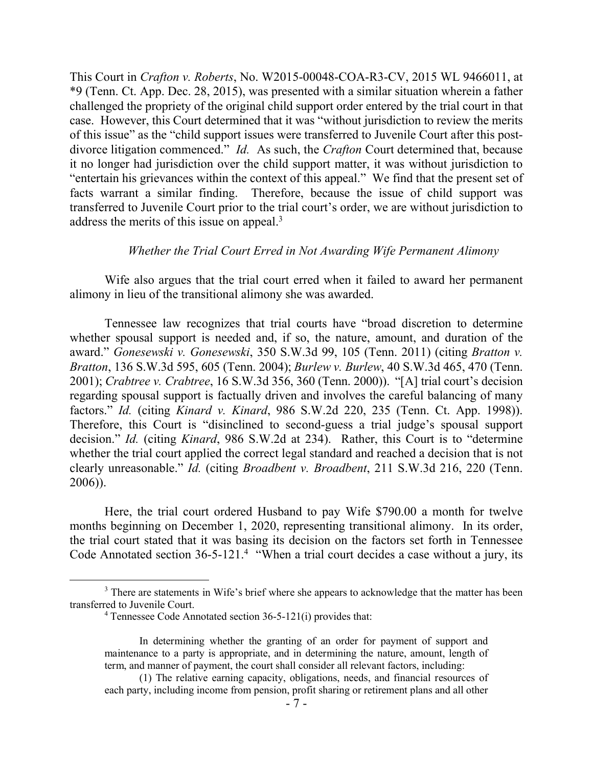This Court in *Crafton v. Roberts*, No. W2015-00048-COA-R3-CV, 2015 WL 9466011, at \*9 (Tenn. Ct. App. Dec. 28, 2015), was presented with a similar situation wherein a father challenged the propriety of the original child support order entered by the trial court in that case. However, this Court determined that it was "without jurisdiction to review the merits of this issue" as the "child support issues were transferred to Juvenile Court after this postdivorce litigation commenced." *Id.* As such, the *Crafton* Court determined that, because it no longer had jurisdiction over the child support matter, it was without jurisdiction to "entertain his grievances within the context of this appeal." We find that the present set of facts warrant a similar finding. Therefore, because the issue of child support was transferred to Juvenile Court prior to the trial court's order, we are without jurisdiction to address the merits of this issue on appeal.<sup>3</sup>

### *Whether the Trial Court Erred in Not Awarding Wife Permanent Alimony*

Wife also argues that the trial court erred when it failed to award her permanent alimony in lieu of the transitional alimony she was awarded.

Tennessee law recognizes that trial courts have "broad discretion to determine whether spousal support is needed and, if so, the nature, amount, and duration of the award." *Gonesewski v. Gonesewski*, 350 S.W.3d 99, 105 (Tenn. 2011) (citing *Bratton v. Bratton*, 136 S.W.3d 595, 605 (Tenn. 2004); *Burlew v. Burlew*, 40 S.W.3d 465, 470 (Tenn. 2001); *Crabtree v. Crabtree*, 16 S.W.3d 356, 360 (Tenn. 2000)). "[A] trial court's decision regarding spousal support is factually driven and involves the careful balancing of many factors." *Id.* (citing *Kinard v. Kinard*, 986 S.W.2d 220, 235 (Tenn. Ct. App. 1998)). Therefore, this Court is "disinclined to second-guess a trial judge's spousal support decision." *Id.* (citing *Kinard*, 986 S.W.2d at 234). Rather, this Court is to "determine whether the trial court applied the correct legal standard and reached a decision that is not clearly unreasonable." *Id.* (citing *Broadbent v. Broadbent*, 211 S.W.3d 216, 220 (Tenn. 2006)).

Here, the trial court ordered Husband to pay Wife \$790.00 a month for twelve months beginning on December 1, 2020, representing transitional alimony. In its order, the trial court stated that it was basing its decision on the factors set forth in Tennessee Code Annotated section  $36-5-121$ .<sup>4</sup> "When a trial court decides a case without a jury, its

 $\overline{a}$ 

 $3$  There are statements in Wife's brief where she appears to acknowledge that the matter has been transferred to Juvenile Court.

 $4$  Tennessee Code Annotated section 36-5-121(i) provides that:

In determining whether the granting of an order for payment of support and maintenance to a party is appropriate, and in determining the nature, amount, length of term, and manner of payment, the court shall consider all relevant factors, including:

<sup>(1)</sup> The relative earning capacity, obligations, needs, and financial resources of each party, including income from pension, profit sharing or retirement plans and all other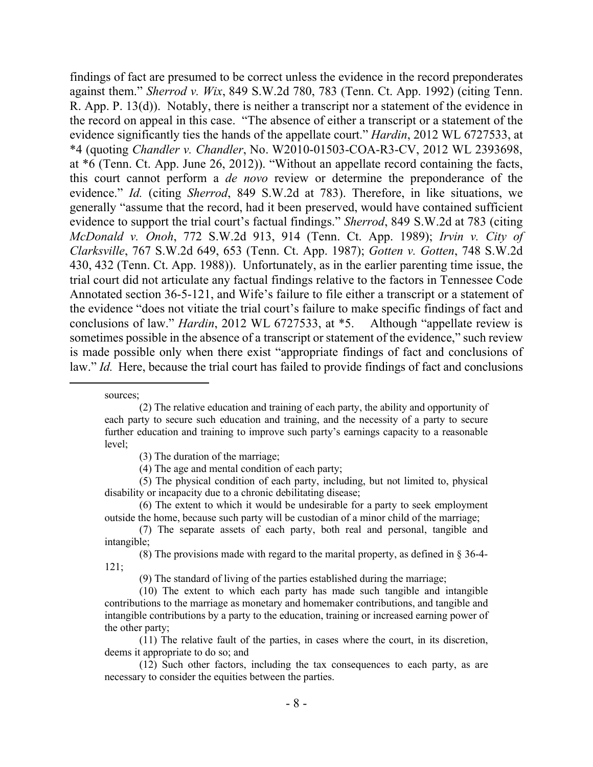findings of fact are presumed to be correct unless the evidence in the record preponderates against them." *Sherrod v. Wix*, 849 S.W.2d 780, 783 (Tenn. Ct. App. 1992) (citing Tenn. R. App. P. 13(d)). Notably, there is neither a transcript nor a statement of the evidence in the record on appeal in this case. "The absence of either a transcript or a statement of the evidence significantly ties the hands of the appellate court." *Hardin*, 2012 WL 6727533, at \*4 (quoting *Chandler v. Chandler*, No. W2010-01503-COA-R3-CV, 2012 WL 2393698, at \*6 (Tenn. Ct. App. June 26, 2012)). "Without an appellate record containing the facts, this court cannot perform a *de novo* review or determine the preponderance of the evidence." *Id.* (citing *Sherrod*, 849 S.W.2d at 783). Therefore, in like situations, we generally "assume that the record, had it been preserved, would have contained sufficient evidence to support the trial court's factual findings." *Sherrod*, 849 S.W.2d at 783 (citing *McDonald v. Onoh*, 772 S.W.2d 913, 914 (Tenn. Ct. App. 1989); *Irvin v. City of Clarksville*, 767 S.W.2d 649, 653 (Tenn. Ct. App. 1987); *Gotten v. Gotten*, 748 S.W.2d 430, 432 (Tenn. Ct. App. 1988)). Unfortunately, as in the earlier parenting time issue, the trial court did not articulate any factual findings relative to the factors in Tennessee Code Annotated section 36-5-121, and Wife's failure to file either a transcript or a statement of the evidence "does not vitiate the trial court's failure to make specific findings of fact and conclusions of law." *Hardin*, 2012 WL 6727533, at \*5.Although "appellate review is sometimes possible in the absence of a transcript or statement of the evidence," such review is made possible only when there exist "appropriate findings of fact and conclusions of law." *Id.* Here, because the trial court has failed to provide findings of fact and conclusions

sources;

<sup>(2)</sup> The relative education and training of each party, the ability and opportunity of each party to secure such education and training, and the necessity of a party to secure further education and training to improve such party's earnings capacity to a reasonable level;

<sup>(3)</sup> The duration of the marriage;

<sup>(4)</sup> The age and mental condition of each party;

<sup>(5)</sup> The physical condition of each party, including, but not limited to, physical disability or incapacity due to a chronic debilitating disease;

<sup>(6)</sup> The extent to which it would be undesirable for a party to seek employment outside the home, because such party will be custodian of a minor child of the marriage;

<sup>(7)</sup> The separate assets of each party, both real and personal, tangible and intangible;

<sup>(8)</sup> The provisions made with regard to the marital property, as defined in § 36-4- 121;

<sup>(9)</sup> The standard of living of the parties established during the marriage;

<sup>(10)</sup> The extent to which each party has made such tangible and intangible contributions to the marriage as monetary and homemaker contributions, and tangible and intangible contributions by a party to the education, training or increased earning power of the other party;

<sup>(11)</sup> The relative fault of the parties, in cases where the court, in its discretion, deems it appropriate to do so; and

<sup>(12)</sup> Such other factors, including the tax consequences to each party, as are necessary to consider the equities between the parties.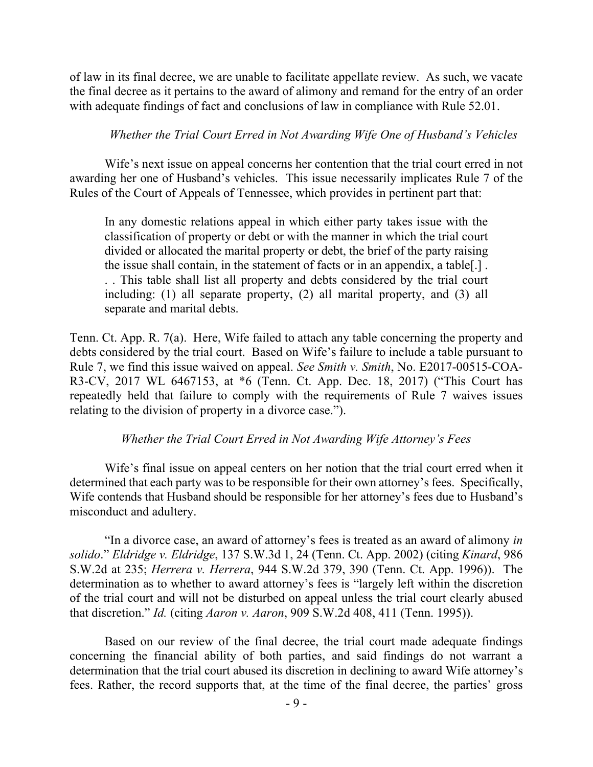of law in its final decree, we are unable to facilitate appellate review. As such, we vacate the final decree as it pertains to the award of alimony and remand for the entry of an order with adequate findings of fact and conclusions of law in compliance with Rule 52.01.

### *Whether the Trial Court Erred in Not Awarding Wife One of Husband's Vehicles*

Wife's next issue on appeal concerns her contention that the trial court erred in not awarding her one of Husband's vehicles. This issue necessarily implicates Rule 7 of the Rules of the Court of Appeals of Tennessee, which provides in pertinent part that:

In any domestic relations appeal in which either party takes issue with the classification of property or debt or with the manner in which the trial court divided or allocated the marital property or debt, the brief of the party raising the issue shall contain, in the statement of facts or in an appendix, a table[.] . . . This table shall list all property and debts considered by the trial court including: (1) all separate property, (2) all marital property, and (3) all separate and marital debts.

Tenn. Ct. App. R. 7(a). Here, Wife failed to attach any table concerning the property and debts considered by the trial court. Based on Wife's failure to include a table pursuant to Rule 7, we find this issue waived on appeal. *See Smith v. Smith*, No. E2017-00515-COA-R3-CV, 2017 WL 6467153, at \*6 (Tenn. Ct. App. Dec. 18, 2017) ("This Court has repeatedly held that failure to comply with the requirements of Rule 7 waives issues relating to the division of property in a divorce case.").

### *Whether the Trial Court Erred in Not Awarding Wife Attorney's Fees*

Wife's final issue on appeal centers on her notion that the trial court erred when it determined that each party was to be responsible for their own attorney's fees. Specifically, Wife contends that Husband should be responsible for her attorney's fees due to Husband's misconduct and adultery.

"In a divorce case, an award of attorney's fees is treated as an award of alimony *in solido*." *Eldridge v. Eldridge*, 137 S.W.3d 1, 24 (Tenn. Ct. App. 2002) (citing *Kinard*, 986 S.W.2d at 235; *Herrera v. Herrera*, 944 S.W.2d 379, 390 (Tenn. Ct. App. 1996)). The determination as to whether to award attorney's fees is "largely left within the discretion of the trial court and will not be disturbed on appeal unless the trial court clearly abused that discretion." *Id.* (citing *Aaron v. Aaron*, 909 S.W.2d 408, 411 (Tenn. 1995)).

Based on our review of the final decree, the trial court made adequate findings concerning the financial ability of both parties, and said findings do not warrant a determination that the trial court abused its discretion in declining to award Wife attorney's fees. Rather, the record supports that, at the time of the final decree, the parties' gross